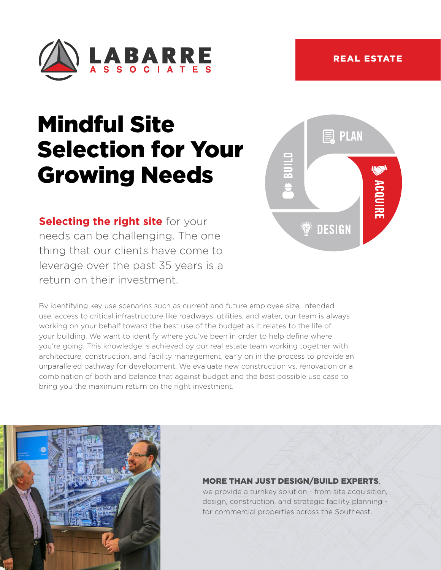

# Mindful Site Selection for Your Growing Needs

**Selecting the right site** for your needs can be challenging. The one thing that our clients have come to leverage over the past 35 years is a return on their investment.

By identifying key use scenarios such as current and future employee size, intended use, access to critical infrastructure like roadways, utilities, and water, our team is always working on your behalf toward the best use of the budget as it relates to the life of your building. We want to identify where you've been in order to help define where you're going. This knowledge is achieved by our real estate team working together with architecture, construction, and facility management, early on in the process to provide an unparalleled pathway for development. We evaluate new construction vs. renovation or a combination of both and balance that against budget and the best possible use case to bring you the maximum return on the right investment.





## MORE THAN JUST DESIGN/BUILD EXPERTS,

we provide a turnkey solution - from site acquisition, design, construction, and strategic facility planning for commercial properties across the Southeast.